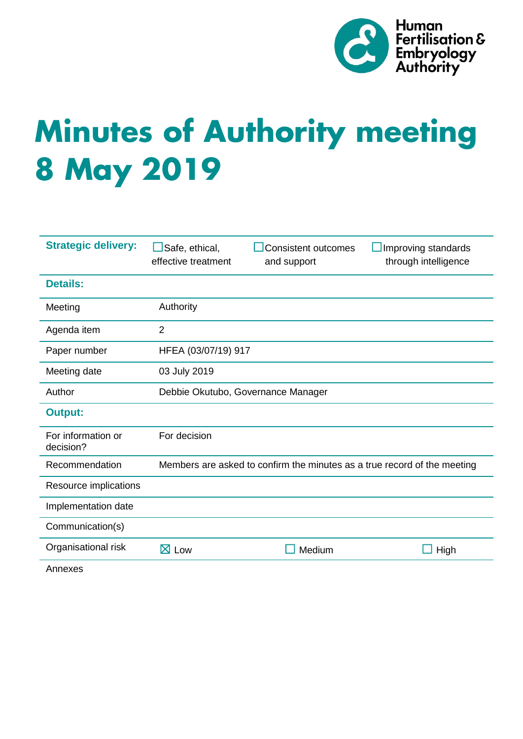

# **Minutes of Authority meeting 8 May 2019**

| <b>Strategic delivery:</b>      | Safe, ethical,<br>effective treatment                                    | <b>Consistent outcomes</b><br>and support | Improving standards<br>through intelligence |
|---------------------------------|--------------------------------------------------------------------------|-------------------------------------------|---------------------------------------------|
| <b>Details:</b>                 |                                                                          |                                           |                                             |
| Meeting                         | Authority                                                                |                                           |                                             |
| Agenda item                     | 2                                                                        |                                           |                                             |
| Paper number                    | HFEA (03/07/19) 917                                                      |                                           |                                             |
| Meeting date                    | 03 July 2019                                                             |                                           |                                             |
| Author                          | Debbie Okutubo, Governance Manager                                       |                                           |                                             |
| <b>Output:</b>                  |                                                                          |                                           |                                             |
| For information or<br>decision? | For decision                                                             |                                           |                                             |
| Recommendation                  | Members are asked to confirm the minutes as a true record of the meeting |                                           |                                             |
| Resource implications           |                                                                          |                                           |                                             |
| Implementation date             |                                                                          |                                           |                                             |
| Communication(s)                |                                                                          |                                           |                                             |
| Organisational risk             | $\boxtimes$ Low                                                          | Medium                                    | High                                        |
| Annexes                         |                                                                          |                                           |                                             |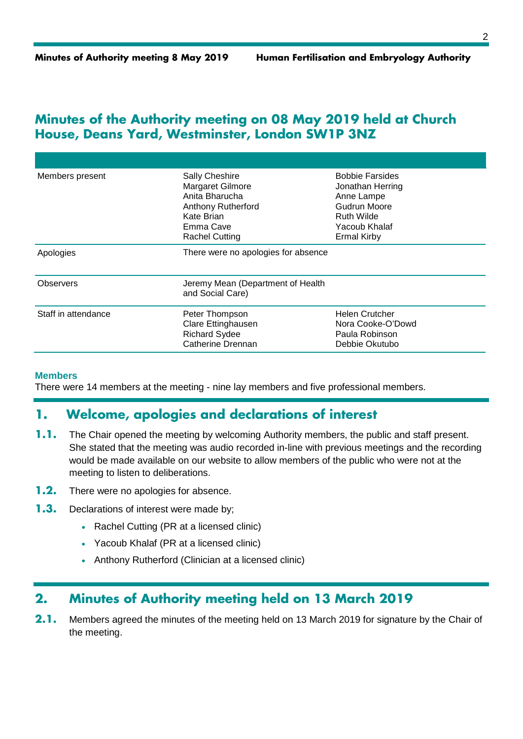## **Minutes of the Authority meeting on 08 May 2019 held at Church House, Deans Yard, Westminster, London SW1P 3NZ**

| Members present     | <b>Sally Cheshire</b><br>Margaret Gilmore<br>Anita Bharucha<br><b>Anthony Rutherford</b><br>Kate Brian<br>Emma Cave<br><b>Rachel Cutting</b> | <b>Bobbie Farsides</b><br>Jonathan Herring<br>Anne Lampe<br>Gudrun Moore<br><b>Ruth Wilde</b><br>Yacoub Khalaf<br><b>Ermal Kirby</b> |  |
|---------------------|----------------------------------------------------------------------------------------------------------------------------------------------|--------------------------------------------------------------------------------------------------------------------------------------|--|
| Apologies           | There were no apologies for absence                                                                                                          |                                                                                                                                      |  |
| <b>Observers</b>    | Jeremy Mean (Department of Health<br>and Social Care)                                                                                        |                                                                                                                                      |  |
| Staff in attendance | Peter Thompson<br>Clare Ettinghausen<br><b>Richard Sydee</b><br>Catherine Drennan                                                            | Helen Crutcher<br>Nora Cooke-O'Dowd<br>Paula Robinson<br>Debbie Okutubo                                                              |  |

#### **Members**

There were 14 members at the meeting - nine lay members and five professional members.

## **1. Welcome, apologies and declarations of interest**

- **1.1.** The Chair opened the meeting by welcoming Authority members, the public and staff present. She stated that the meeting was audio recorded in-line with previous meetings and the recording would be made available on our website to allow members of the public who were not at the meeting to listen to deliberations.
- **1.2.** There were no apologies for absence.
- **1.3.** Declarations of interest were made by;
	- Rachel Cutting (PR at a licensed clinic)
	- Yacoub Khalaf (PR at a licensed clinic)
	- Anthony Rutherford (Clinician at a licensed clinic)

# **2. Minutes of Authority meeting held on 13 March 2019**

**2.1.** Members agreed the minutes of the meeting held on 13 March 2019 for signature by the Chair of the meeting.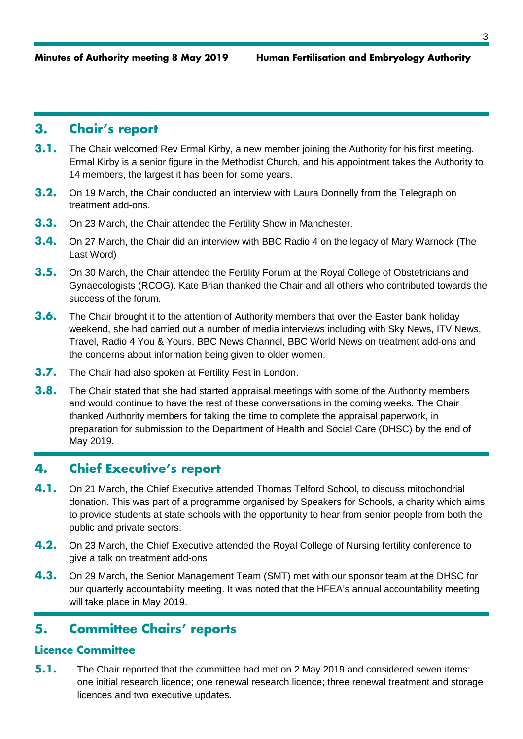# **3. Chair's report**

- **3.1.** The Chair welcomed Rev Ermal Kirby, a new member joining the Authority for his first meeting. Ermal Kirby is a senior figure in the Methodist Church, and his appointment takes the Authority to 14 members, the largest it has been for some years.
- **3.2.** On 19 March, the Chair conducted an interview with Laura Donnelly from the Telegraph on treatment add-ons.
- **3.3.** On 23 March, the Chair attended the Fertility Show in Manchester.
- **3.4.** On 27 March, the Chair did an interview with BBC Radio 4 on the legacy of Mary Warnock (The Last Word)
- **3.5.** On 30 March, the Chair attended the Fertility Forum at the Royal College of Obstetricians and Gynaecologists (RCOG). Kate Brian thanked the Chair and all others who contributed towards the success of the forum.
- **3.6.** The Chair brought it to the attention of Authority members that over the Easter bank holiday weekend, she had carried out a number of media interviews including with Sky News, ITV News, Travel, Radio 4 You & Yours, BBC News Channel, BBC World News on treatment add-ons and the concerns about information being given to older women.
- **3.7.** The Chair had also spoken at Fertility Fest in London.
- **3.8.** The Chair stated that she had started appraisal meetings with some of the Authority members and would continue to have the rest of these conversations in the coming weeks. The Chair thanked Authority members for taking the time to complete the appraisal paperwork, in preparation for submission to the Department of Health and Social Care (DHSC) by the end of May 2019.

# **4. Chief Executive's report**

- **4.1.** On 21 March, the Chief Executive attended Thomas Telford School, to discuss mitochondrial donation. This was part of a programme organised by Speakers for Schools, a charity which aims to provide students at state schools with the opportunity to hear from senior people from both the public and private sectors.
- **4.2.** On 23 March, the Chief Executive attended the Royal College of Nursing fertility conference to give a talk on treatment add-ons
- **4.3.** On 29 March, the Senior Management Team (SMT) met with our sponsor team at the DHSC for our quarterly accountability meeting. It was noted that the HFEA's annual accountability meeting will take place in May 2019.

# **5. Committee Chairs' reports**

## **Licence Committee**

**5.1.** The Chair reported that the committee had met on 2 May 2019 and considered seven items: one initial research licence; one renewal research licence; three renewal treatment and storage licences and two executive updates.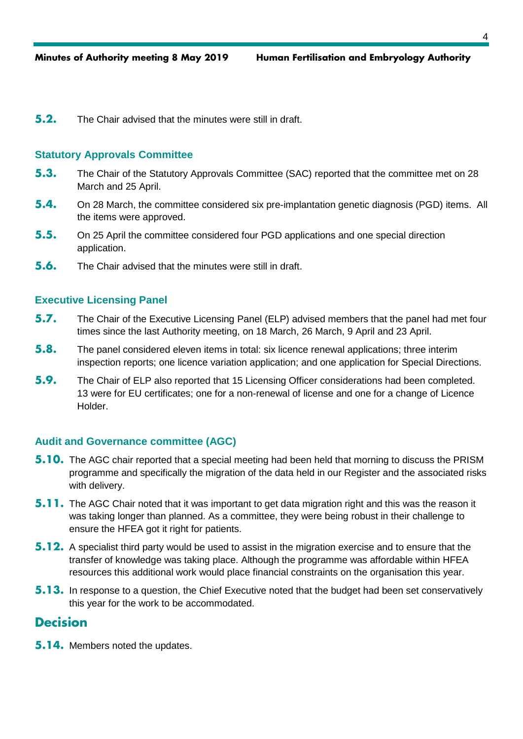**5.2.** The Chair advised that the minutes were still in draft.

#### **Statutory Approvals Committee**

- **5.3.** The Chair of the Statutory Approvals Committee (SAC) reported that the committee met on 28 March and 25 April.
- **5.4.** On 28 March, the committee considered six pre-implantation genetic diagnosis (PGD) items. All the items were approved.
- **5.5.** On 25 April the committee considered four PGD applications and one special direction application.
- **5.6.** The Chair advised that the minutes were still in draft.

#### **Executive Licensing Panel**

- **5.7.** The Chair of the Executive Licensing Panel (ELP) advised members that the panel had met four times since the last Authority meeting, on 18 March, 26 March, 9 April and 23 April.
- **5.8.** The panel considered eleven items in total: six licence renewal applications; three interim inspection reports; one licence variation application; and one application for Special Directions.
- **5.9.** The Chair of ELP also reported that 15 Licensing Officer considerations had been completed. 13 were for EU certificates; one for a non-renewal of license and one for a change of Licence Holder.

### **Audit and Governance committee (AGC)**

- **5.10.** The AGC chair reported that a special meeting had been held that morning to discuss the PRISM programme and specifically the migration of the data held in our Register and the associated risks with delivery.
- **5.11.** The AGC Chair noted that it was important to get data migration right and this was the reason it was taking longer than planned. As a committee, they were being robust in their challenge to ensure the HFEA got it right for patients.
- **5.12.** A specialist third party would be used to assist in the migration exercise and to ensure that the transfer of knowledge was taking place. Although the programme was affordable within HFEA resources this additional work would place financial constraints on the organisation this year.
- **5.13.** In response to a question, the Chief Executive noted that the budget had been set conservatively this year for the work to be accommodated.

## **Decision**

**5.14.** Members noted the updates.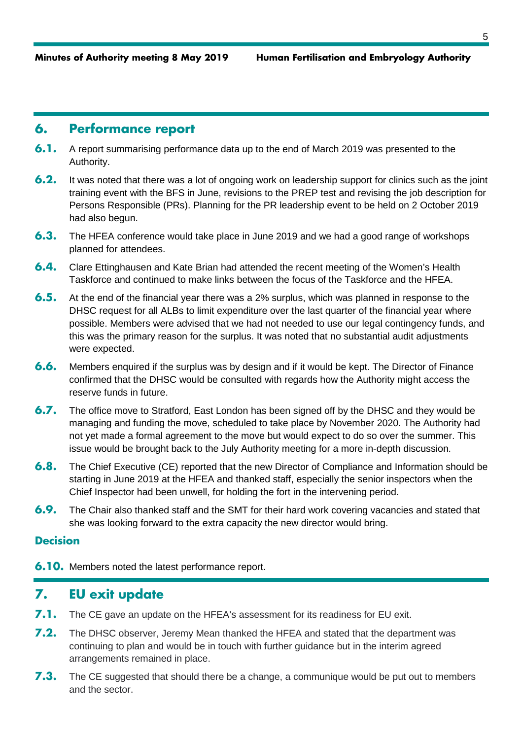## **6. Performance report**

- **6.1.** A report summarising performance data up to the end of March 2019 was presented to the Authority.
- **6.2.** It was noted that there was a lot of ongoing work on leadership support for clinics such as the joint training event with the BFS in June, revisions to the PREP test and revising the job description for Persons Responsible (PRs). Planning for the PR leadership event to be held on 2 October 2019 had also begun.
- **6.3.** The HFEA conference would take place in June 2019 and we had a good range of workshops planned for attendees.
- **6.4.** Clare Ettinghausen and Kate Brian had attended the recent meeting of the Women's Health Taskforce and continued to make links between the focus of the Taskforce and the HFEA.
- **6.5.** At the end of the financial year there was a 2% surplus, which was planned in response to the DHSC request for all ALBs to limit expenditure over the last quarter of the financial year where possible. Members were advised that we had not needed to use our legal contingency funds, and this was the primary reason for the surplus. It was noted that no substantial audit adjustments were expected.
- **6.6.** Members enquired if the surplus was by design and if it would be kept. The Director of Finance confirmed that the DHSC would be consulted with regards how the Authority might access the reserve funds in future.
- **6.7.** The office move to Stratford, East London has been signed off by the DHSC and they would be managing and funding the move, scheduled to take place by November 2020. The Authority had not yet made a formal agreement to the move but would expect to do so over the summer. This issue would be brought back to the July Authority meeting for a more in-depth discussion.
- **6.8.** The Chief Executive (CE) reported that the new Director of Compliance and Information should be starting in June 2019 at the HFEA and thanked staff, especially the senior inspectors when the Chief Inspector had been unwell, for holding the fort in the intervening period.
- **6.9.** The Chair also thanked staff and the SMT for their hard work covering vacancies and stated that she was looking forward to the extra capacity the new director would bring.

## **Decision**

**6.10.** Members noted the latest performance report.

## **7. EU exit update**

- **7.1.** The CE gave an update on the HFEA's assessment for its readiness for EU exit.
- **7.2.** The DHSC observer, Jeremy Mean thanked the HFEA and stated that the department was continuing to plan and would be in touch with further guidance but in the interim agreed arrangements remained in place.
- **7.3.** The CE suggested that should there be a change, a communique would be put out to members and the sector.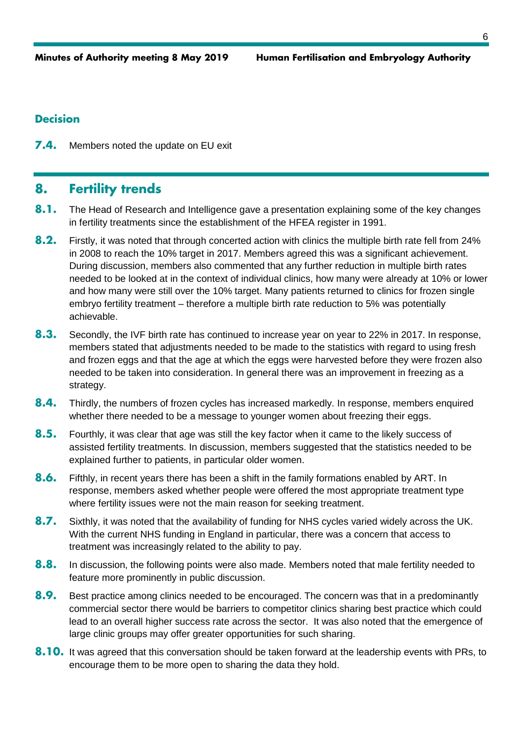## **Decision**

**7.4.** Members noted the update on EU exit

# **8. Fertility trends**

- **8.1.** The Head of Research and Intelligence gave a presentation explaining some of the key changes in fertility treatments since the establishment of the HFEA register in 1991.
- **8.2.** Firstly, it was noted that through concerted action with clinics the multiple birth rate fell from 24% in 2008 to reach the 10% target in 2017. Members agreed this was a significant achievement. During discussion, members also commented that any further reduction in multiple birth rates needed to be looked at in the context of individual clinics, how many were already at 10% or lower and how many were still over the 10% target. Many patients returned to clinics for frozen single embryo fertility treatment – therefore a multiple birth rate reduction to 5% was potentially achievable.
- **8.3.** Secondly, the IVF birth rate has continued to increase year on year to 22% in 2017. In response, members stated that adjustments needed to be made to the statistics with regard to using fresh and frozen eggs and that the age at which the eggs were harvested before they were frozen also needed to be taken into consideration. In general there was an improvement in freezing as a strategy.
- **8.4.** Thirdly, the numbers of frozen cycles has increased markedly. In response, members enquired whether there needed to be a message to younger women about freezing their eggs.
- **8.5.** Fourthly, it was clear that age was still the key factor when it came to the likely success of assisted fertility treatments. In discussion, members suggested that the statistics needed to be explained further to patients, in particular older women.
- **8.6.** Fifthly, in recent years there has been a shift in the family formations enabled by ART. In response, members asked whether people were offered the most appropriate treatment type where fertility issues were not the main reason for seeking treatment.
- **8.7.** Sixthly, it was noted that the availability of funding for NHS cycles varied widely across the UK. With the current NHS funding in England in particular, there was a concern that access to treatment was increasingly related to the ability to pay.
- **8.8.** In discussion, the following points were also made. Members noted that male fertility needed to feature more prominently in public discussion.
- **8.9.** Best practice among clinics needed to be encouraged. The concern was that in a predominantly commercial sector there would be barriers to competitor clinics sharing best practice which could lead to an overall higher success rate across the sector. It was also noted that the emergence of large clinic groups may offer greater opportunities for such sharing.
- **8.10.** It was agreed that this conversation should be taken forward at the leadership events with PRs, to encourage them to be more open to sharing the data they hold.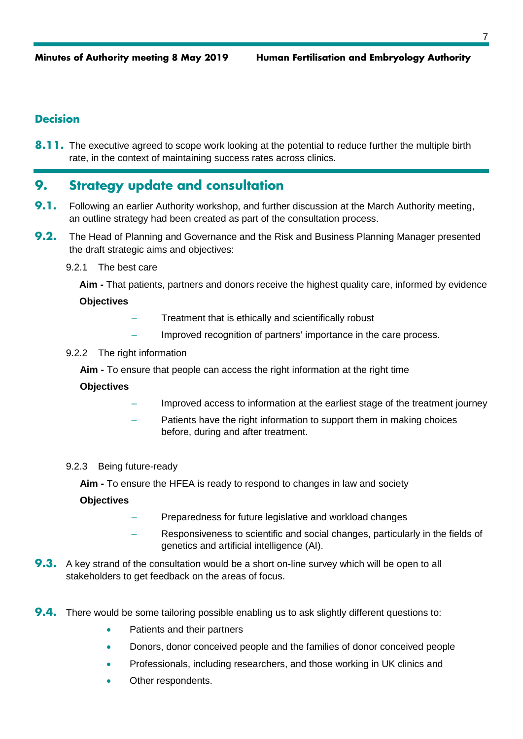## **Decision**

**8.11.** The executive agreed to scope work looking at the potential to reduce further the multiple birth rate, in the context of maintaining success rates across clinics.

# **9. Strategy update and consultation**

- **9.1.** Following an earlier Authority workshop, and further discussion at the March Authority meeting, an outline strategy had been created as part of the consultation process.
- **9.2.** The Head of Planning and Governance and the Risk and Business Planning Manager presented the draft strategic aims and objectives:
	- 9.2.1 The best care

**Aim -** That patients, partners and donors receive the highest quality care, informed by evidence

### **Objectives**

- Treatment that is ethically and scientifically robust
- Improved recognition of partners' importance in the care process.

#### 9.2.2 The right information

**Aim -** To ensure that people can access the right information at the right time

### **Objectives**

- Improved access to information at the earliest stage of the treatment journey
- Patients have the right information to support them in making choices before, during and after treatment.

#### 9.2.3 Being future-ready

**Aim -** To ensure the HFEA is ready to respond to changes in law and society

### **Objectives**

- Preparedness for future legislative and workload changes
- Responsiveness to scientific and social changes, particularly in the fields of genetics and artificial intelligence (AI).
- **9.3.** A key strand of the consultation would be a short on-line survey which will be open to all stakeholders to get feedback on the areas of focus.
- **9.4.** There would be some tailoring possible enabling us to ask slightly different questions to:
	- Patients and their partners
	- Donors, donor conceived people and the families of donor conceived people
	- Professionals, including researchers, and those working in UK clinics and
	- Other respondents.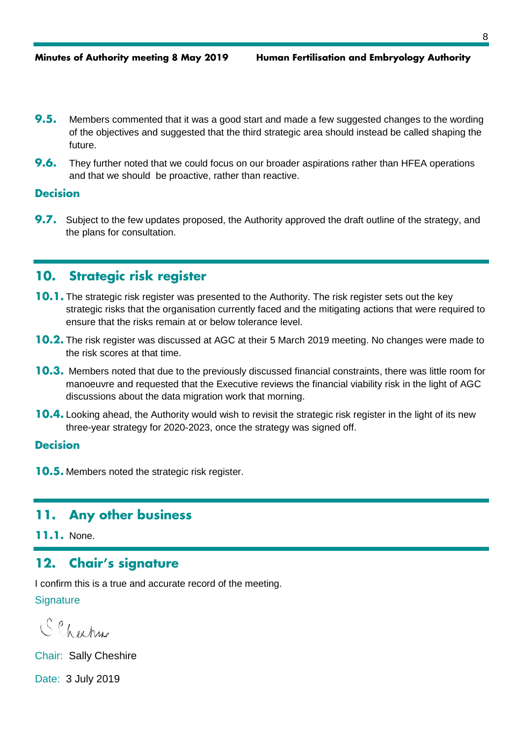- **9.5.** Members commented that it was a good start and made a few suggested changes to the wording of the objectives and suggested that the third strategic area should instead be called shaping the future.
- **9.6.** They further noted that we could focus on our broader aspirations rather than HFEA operations and that we should be proactive, rather than reactive.

## **Decision**

**9.7.** Subject to the few updates proposed, the Authority approved the draft outline of the strategy, and the plans for consultation.

# **10. Strategic risk register**

- **10.1.** The strategic risk register was presented to the Authority. The risk register sets out the key strategic risks that the organisation currently faced and the mitigating actions that were required to ensure that the risks remain at or below tolerance level.
- **10.2.** The risk register was discussed at AGC at their 5 March 2019 meeting. No changes were made to the risk scores at that time.
- **10.3.** Members noted that due to the previously discussed financial constraints, there was little room for manoeuvre and requested that the Executive reviews the financial viability risk in the light of AGC discussions about the data migration work that morning.
- **10.4.** Looking ahead, the Authority would wish to revisit the strategic risk register in the light of its new three-year strategy for 2020-2023, once the strategy was signed off.

#### **Decision**

**10.5.** Members noted the strategic risk register.

## **11. Any other business**

**11.1.** None.

# **12. Chair's signature**

I confirm this is a true and accurate record of the meeting.

## **Signature**

Schechu

Chair: Sally Cheshire

Date: 3 July 2019